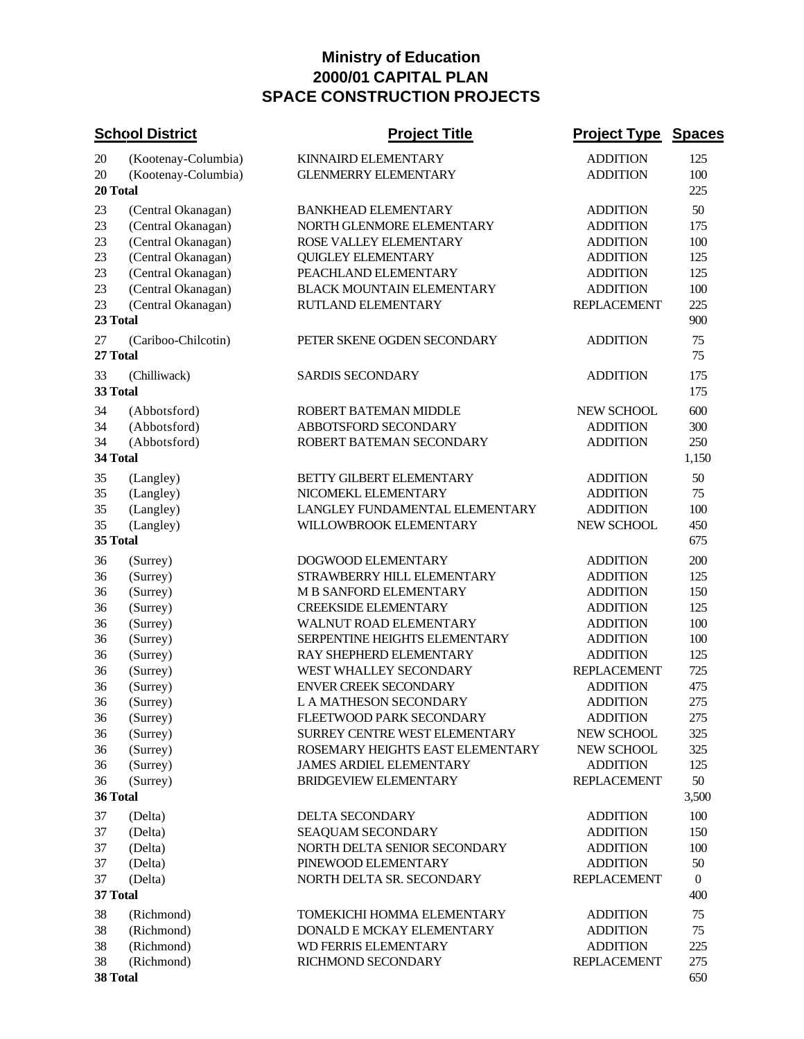## **Ministry of Education 2000/01 CAPITAL PLAN SPACE CONSTRUCTION PROJECTS**

| <b>School District</b> |                     | <b>Project Title</b>             | <b>Project Type</b> | <b>Spaces</b>  |
|------------------------|---------------------|----------------------------------|---------------------|----------------|
| 20                     | (Kootenay-Columbia) | KINNAIRD ELEMENTARY              | <b>ADDITION</b>     | 125            |
| 20                     | (Kootenay-Columbia) | <b>GLENMERRY ELEMENTARY</b>      | <b>ADDITION</b>     | 100            |
|                        | 20 Total            |                                  |                     | 225            |
| 23                     | (Central Okanagan)  | <b>BANKHEAD ELEMENTARY</b>       | <b>ADDITION</b>     | 50             |
| 23                     | (Central Okanagan)  | NORTH GLENMORE ELEMENTARY        | <b>ADDITION</b>     | 175            |
| 23                     | (Central Okanagan)  | ROSE VALLEY ELEMENTARY           | <b>ADDITION</b>     | 100            |
| 23                     | (Central Okanagan)  | <b>QUIGLEY ELEMENTARY</b>        | <b>ADDITION</b>     | 125            |
| 23                     | (Central Okanagan)  | PEACHLAND ELEMENTARY             | <b>ADDITION</b>     | 125            |
| 23                     | (Central Okanagan)  | <b>BLACK MOUNTAIN ELEMENTARY</b> | <b>ADDITION</b>     | 100            |
| 23                     | (Central Okanagan)  | RUTLAND ELEMENTARY               | <b>REPLACEMENT</b>  | 225            |
|                        | 23 Total            |                                  |                     | 900            |
| 27                     | (Cariboo-Chilcotin) | PETER SKENE OGDEN SECONDARY      | <b>ADDITION</b>     | 75             |
|                        | 27 Total            |                                  |                     | 75             |
| 33                     | (Chilliwack)        | <b>SARDIS SECONDARY</b>          | <b>ADDITION</b>     | 175            |
|                        | 33 Total            |                                  |                     | 175            |
|                        |                     |                                  |                     |                |
| 34                     | (Abbotsford)        | ROBERT BATEMAN MIDDLE            | <b>NEW SCHOOL</b>   | 600            |
| 34                     | (Abbotsford)        | ABBOTSFORD SECONDARY             | <b>ADDITION</b>     | 300            |
| 34                     | (Abbotsford)        | ROBERT BATEMAN SECONDARY         | <b>ADDITION</b>     | 250            |
|                        | 34 Total            |                                  |                     | 1,150          |
| 35                     | (Langley)           | BETTY GILBERT ELEMENTARY         | <b>ADDITION</b>     | 50             |
| 35                     | (Langley)           | NICOMEKL ELEMENTARY              | <b>ADDITION</b>     | 75             |
| 35                     | (Langley)           | LANGLEY FUNDAMENTAL ELEMENTARY   | <b>ADDITION</b>     | 100            |
| 35                     | (Langley)           | WILLOWBROOK ELEMENTARY           | NEW SCHOOL          | 450            |
|                        | 35 Total            |                                  |                     | 675            |
| 36                     | (Surrey)            | DOGWOOD ELEMENTARY               | <b>ADDITION</b>     | 200            |
| 36                     | (Surrey)            | STRAWBERRY HILL ELEMENTARY       | <b>ADDITION</b>     | 125            |
| 36                     | (Surrey)            | M B SANFORD ELEMENTARY           | <b>ADDITION</b>     | 150            |
| 36                     | (Surrey)            | <b>CREEKSIDE ELEMENTARY</b>      | <b>ADDITION</b>     | 125            |
| 36                     | (Surrey)            | WALNUT ROAD ELEMENTARY           | <b>ADDITION</b>     | 100            |
| 36                     | (Surrey)            | SERPENTINE HEIGHTS ELEMENTARY    | <b>ADDITION</b>     | 100            |
| 36                     | (Surrey)            | RAY SHEPHERD ELEMENTARY          | <b>ADDITION</b>     | 125            |
| 36                     | (Surrey)            | WEST WHALLEY SECONDARY           | <b>REPLACEMENT</b>  | 725            |
| 36                     | (Surrey)            | <b>ENVER CREEK SECONDARY</b>     | <b>ADDITION</b>     | 475            |
| 36                     | (Surrey)            | L A MATHESON SECONDARY           | <b>ADDITION</b>     | 275            |
| 36                     | (Surrey)            | FLEETWOOD PARK SECONDARY         | <b>ADDITION</b>     | 275            |
| 36                     | (Surrey)            | SURREY CENTRE WEST ELEMENTARY    | <b>NEW SCHOOL</b>   | 325            |
| 36                     | (Surrey)            | ROSEMARY HEIGHTS EAST ELEMENTARY | NEW SCHOOL          | 325            |
| 36                     | (Surrey)            | <b>JAMES ARDIEL ELEMENTARY</b>   | <b>ADDITION</b>     | 125            |
| 36                     | (Surrey)            | <b>BRIDGEVIEW ELEMENTARY</b>     | <b>REPLACEMENT</b>  | 50             |
|                        | 36 Total            |                                  |                     | 3,500          |
| 37                     | (Delta)             | DELTA SECONDARY                  | <b>ADDITION</b>     | 100            |
| 37                     | (Delta)             | SEAQUAM SECONDARY                | <b>ADDITION</b>     | 150            |
| 37                     | (Delta)             | NORTH DELTA SENIOR SECONDARY     | <b>ADDITION</b>     | 100            |
| 37                     | (Delta)             | PINEWOOD ELEMENTARY              | <b>ADDITION</b>     | 50             |
| 37                     | (Delta)             | NORTH DELTA SR. SECONDARY        | <b>REPLACEMENT</b>  | $\overline{0}$ |
| 37 Total               |                     |                                  |                     | 400            |
| 38                     | (Richmond)          | TOMEKICHI HOMMA ELEMENTARY       | <b>ADDITION</b>     | 75             |
| 38                     | (Richmond)          | DONALD E MCKAY ELEMENTARY        | <b>ADDITION</b>     | 75             |
| 38                     | (Richmond)          | WD FERRIS ELEMENTARY             | <b>ADDITION</b>     | 225            |
| 38                     | (Richmond)          | RICHMOND SECONDARY               | <b>REPLACEMENT</b>  | 275            |
| 38 Total               |                     |                                  |                     | 650            |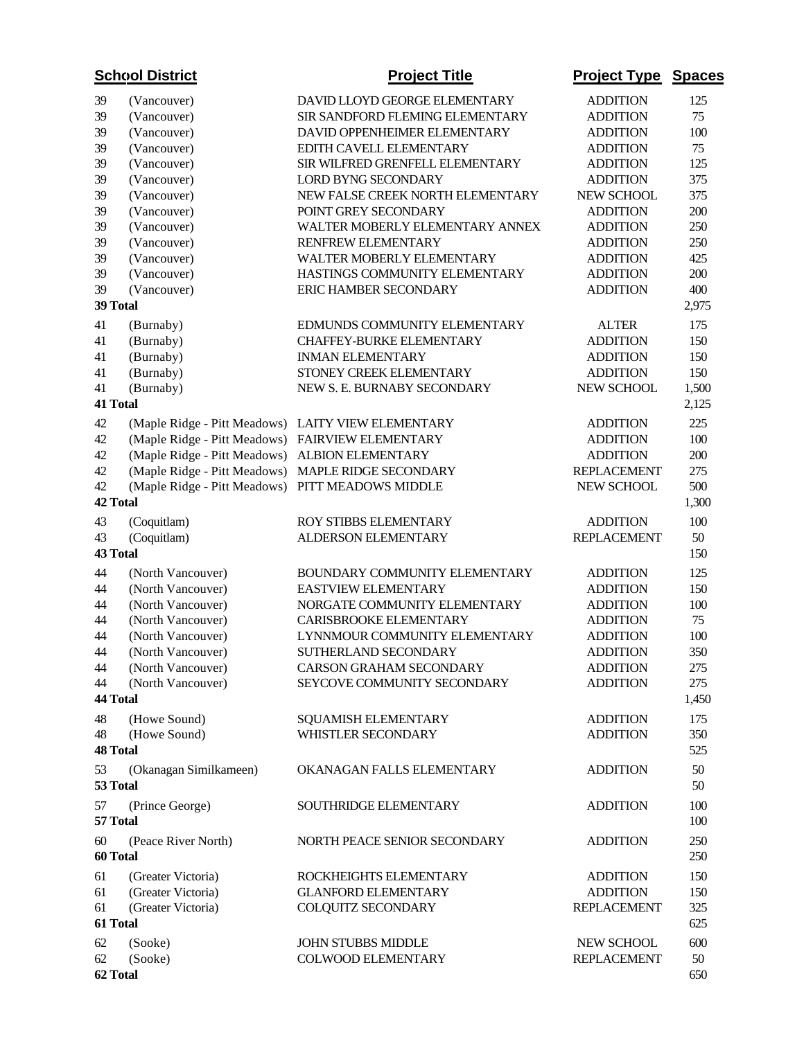| <b>School District</b> |                              | <b>Project Title</b>             | <b>Project Type</b> | <b>Spaces</b> |
|------------------------|------------------------------|----------------------------------|---------------------|---------------|
| 39                     | (Vancouver)                  | DAVID LLOYD GEORGE ELEMENTARY    | <b>ADDITION</b>     | 125           |
| 39                     | (Vancouver)                  | SIR SANDFORD FLEMING ELEMENTARY  | <b>ADDITION</b>     | 75            |
| 39                     | (Vancouver)                  | DAVID OPPENHEIMER ELEMENTARY     | <b>ADDITION</b>     | 100           |
| 39                     | (Vancouver)                  | EDITH CAVELL ELEMENTARY          | <b>ADDITION</b>     | 75            |
| 39                     | (Vancouver)                  | SIR WILFRED GRENFELL ELEMENTARY  | <b>ADDITION</b>     | 125           |
| 39                     | (Vancouver)                  | <b>LORD BYNG SECONDARY</b>       | <b>ADDITION</b>     | 375           |
| 39                     | (Vancouver)                  | NEW FALSE CREEK NORTH ELEMENTARY | NEW SCHOOL          | 375           |
| 39                     | (Vancouver)                  | POINT GREY SECONDARY             | <b>ADDITION</b>     | 200           |
| 39                     | (Vancouver)                  | WALTER MOBERLY ELEMENTARY ANNEX  | <b>ADDITION</b>     | 250           |
| 39                     | (Vancouver)                  | RENFREW ELEMENTARY               | <b>ADDITION</b>     | 250           |
| 39                     | (Vancouver)                  | WALTER MOBERLY ELEMENTARY        | <b>ADDITION</b>     | 425           |
| 39                     | (Vancouver)                  | HASTINGS COMMUNITY ELEMENTARY    | <b>ADDITION</b>     | 200           |
| 39                     | (Vancouver)                  | <b>ERIC HAMBER SECONDARY</b>     | <b>ADDITION</b>     | 400           |
|                        | 39 Total                     |                                  |                     | 2,975         |
| 41                     | (Burnaby)                    | EDMUNDS COMMUNITY ELEMENTARY     | <b>ALTER</b>        | 175           |
| 41                     | (Burnaby)                    | CHAFFEY-BURKE ELEMENTARY         | <b>ADDITION</b>     | 150           |
| 41                     | (Burnaby)                    | <b>INMAN ELEMENTARY</b>          | <b>ADDITION</b>     | 150           |
| 41                     | (Burnaby)                    | STONEY CREEK ELEMENTARY          | <b>ADDITION</b>     | 150           |
| 41                     | (Burnaby)                    | NEW S. E. BURNABY SECONDARY      | NEW SCHOOL          | 1,500         |
|                        | 41 Total                     |                                  |                     | 2,125         |
| 42                     | (Maple Ridge - Pitt Meadows) | <b>LAITY VIEW ELEMENTARY</b>     | <b>ADDITION</b>     | 225           |
| 42                     | (Maple Ridge - Pitt Meadows) | FAIRVIEW ELEMENTARY              | <b>ADDITION</b>     | 100           |
| 42                     | (Maple Ridge - Pitt Meadows) | ALBION ELEMENTARY                | <b>ADDITION</b>     | 200           |
| 42                     | (Maple Ridge - Pitt Meadows) | MAPLE RIDGE SECONDARY            | <b>REPLACEMENT</b>  | 275           |
| 42                     | (Maple Ridge - Pitt Meadows) | PITT MEADOWS MIDDLE              | NEW SCHOOL          | 500           |
|                        | 42 Total                     |                                  |                     | 1,300         |
| 43                     | (Coquitlam)                  | ROY STIBBS ELEMENTARY            | <b>ADDITION</b>     | 100           |
| 43                     | (Coquitlam)                  | ALDERSON ELEMENTARY              | <b>REPLACEMENT</b>  | 50            |
|                        | 43 Total                     |                                  |                     | 150           |
| 44                     | (North Vancouver)            | BOUNDARY COMMUNITY ELEMENTARY    | <b>ADDITION</b>     | 125           |
| 44                     | (North Vancouver)            | EASTVIEW ELEMENTARY              | <b>ADDITION</b>     | 150           |
| 44                     | (North Vancouver)            | NORGATE COMMUNITY ELEMENTARY     | <b>ADDITION</b>     | 100           |
| 44                     | (North Vancouver)            | CARISBROOKE ELEMENTARY           | <b>ADDITION</b>     | 75            |
| 44                     | (North Vancouver)            | LYNNMOUR COMMUNITY ELEMENTARY    | <b>ADDITION</b>     | 100           |
| $44\,$                 | (North Vancouver)            | SUTHERLAND SECONDARY             | <b>ADDITION</b>     | 350           |
| 44                     | (North Vancouver)            | CARSON GRAHAM SECONDARY          | <b>ADDITION</b>     | 275           |
| 44                     | (North Vancouver)            | SEYCOVE COMMUNITY SECONDARY      | <b>ADDITION</b>     | 275           |
|                        | 44 Total                     |                                  |                     | 1,450         |
| 48                     | (Howe Sound)                 | <b>SQUAMISH ELEMENTARY</b>       | <b>ADDITION</b>     | 175           |
| 48                     | (Howe Sound)                 | WHISTLER SECONDARY               | <b>ADDITION</b>     | 350           |
|                        | <b>48 Total</b>              |                                  |                     | 525           |
| 53                     | (Okanagan Similkameen)       | OKANAGAN FALLS ELEMENTARY        | <b>ADDITION</b>     | 50            |
|                        | 53 Total                     |                                  |                     | 50            |
| 57                     | (Prince George)<br>57 Total  | <b>SOUTHRIDGE ELEMENTARY</b>     | <b>ADDITION</b>     | 100<br>100    |
| 60                     | (Peace River North)          | NORTH PEACE SENIOR SECONDARY     | <b>ADDITION</b>     | 250           |
|                        | 60 Total                     |                                  |                     | 250           |
| 61                     | (Greater Victoria)           | ROCKHEIGHTS ELEMENTARY           | <b>ADDITION</b>     | 150           |
| 61                     | (Greater Victoria)           | <b>GLANFORD ELEMENTARY</b>       | <b>ADDITION</b>     | 150           |
| 61                     | (Greater Victoria)           | COLQUITZ SECONDARY               | <b>REPLACEMENT</b>  | 325           |
|                        | 61 Total                     |                                  |                     | 625           |
| 62                     | (Sooke)                      | <b>JOHN STUBBS MIDDLE</b>        | NEW SCHOOL          | 600           |
| 62                     | (Sooke)                      | COLWOOD ELEMENTARY               | <b>REPLACEMENT</b>  | 50            |
|                        | 62 Total                     |                                  |                     | 650           |